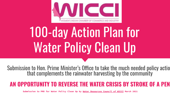

# 100-day Action Plan for Water Policy Clean Up

Submission to Hon. Prime Minister's Office to take the much needed policy actio that complements the rainwater harvesting by the community

## **AN OPPORTUNITY TO REVERSE THE WATER CRISIS BY STROKE OF A PEN**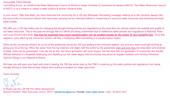### Honourable Prime Minister

I am writing to you on behalf of the Water Resources Council of Women's Indian Chamber of Commerce & Industry (WICCI). The Water Resources Council of WICCI is on a mission to create a water positive & women inclusive India.

In your recent "Man Kee Baat" you have beckoned the community for a 100 day Rainwater Harvesting Campaign leading up to the monsoon season.We, the community of concerned citizens who have been carrying out our individual efforts in conserving our precious water resources and protecting the local water bodies.

We offer you a 100 day action plan for changing the drought driving policies and regulations to the ones that can actively restore the quantity and quality of our water resources. This is because we strongly feel our efforts are being undermined due to ineffective water policies and regulations at National, State and Local Government level. **You may be surprised how much transformation can be enabled simply by the stroke of your powerful pen.** Once that happens, every effort by the concerned citizens will see a multiplying effect translating to a transformative impact.

While we the concerned citizens do our bit at the grassroots during the 100 day leading to the monsoon season, you and your team could get working at doing your bit at the top. When the action from the top matches and aligns with the action by the grassroots, then and only then the restoration and reversal of water crisis can be guaranteed. If we did not do this, the future generation will never forgive the last blow that our generation of community and elected officials delivered in completely destroying and depleting our rich water legacy that we proudly sing about as Sujalam Sufalam and Vindhya Himachal Yamuna Ganga in our National Anthems

We hope you will open your heart and mind in leading the 100 day action plan by the PMO in cleaning up the water policies and regulations from being drought driving to ones that actively restore and continue to protect our water resources.

Yours sincerely

National President, [Wa](http://www.wicci.in)[ter Resources](https://www.urbanwaterdoctor.com/) Council, WICCI, drbhakti.devi@wicci.in, Founder, Urban Water Doctor, Date - 26 March 2021 Dr Bhakti Lata Devi, *BE ME PhD (Water Management)*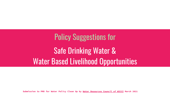# Policy Suggestions for Safe Drinking Water & Water Based Livelihood Opportunities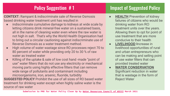**CONTEXT:** Rampant & indiscriminate sale of Reverse Osmosis based drinking water treatment unit has resulted in

- indiscriminate cumulative damage to kidneys at wide scale by letting citizens drink mineral-free water on a sustained basis, all in the name of cleaning water even where the raw water is not high in salt. That's why the World Health Organisation had to bring out a circular cautioning against indiscriminate use of Reverse Osmosis as a water treatment method.
- High volume of water wastage since RO processes reject 70 to 80 percent of water while providing only 20 to 30 % of raw water as treated water
- Killing of the uptake & sale of low cost hand -made "point of use" water filters that do not use any electricity or mechanical moving parts using highly effective filters that can remove wide range of pollutants and contaminant including microorganisms, iron, arsenic, fluoride, turbidity **SUGGESTED POLICY** Prohibit the use of all sizes of RO based water treatment for drinking water except when highly saline water is the source of raw water

### **Policy Suggestion #1 Impact of Suggested Policy**

- **HEALTH** Prevention of kidney failures of citizens who would be drinking water from RO treatment units over the years. Allowing them to opt for point of use treatment that are more conducive to their health
- **LIVELIHOOD I**ncrease in livelihood opportunities of rural and urban entrepreneurs who can be making and selling point of use water filters that can provided treated water
- **WATER CONSERVATION** Significant reduction in water that is wastage in the form of Reject Water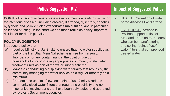**CONTEXT -** Lack of access to safe water sources is a leading risk factor for infectious diseases, including cholera, diarrhoea, dysentery, hepatitis A, typhoid and polio.2 It also exacerbates malnutrition, and in particular, childhood stunting. In the chart we see that it ranks as a very important risk factor for death globally.

### **POLICY SUGGESTION**

Introduce a policy that

- a) requires Ministry of Jal Shakti to ensure that the water supplied as part of the Har Ghar Mein Nal scheme is free from arsenic, fluoride, iron or any contaminant at the point of use by households.by incorporating appropriate community scale water treatment units as part of the water supply scheme,
- b) Mandates conducting & displaying water quality test results by the community managing the water service on a regular (monthly as a minimum)
- **Submission to PMO for Wicci Clean Up and Wicci Council of Wicci Council of Wicci Council of Wicci Council of Wicci Council of Wicci Council of Wicci Council of Wicci Council of Wicci Council of Wicci Council of Wicci Coun** c) Promotes the uptake of low tech point of use family sized and community sized water filters that require no electricity and no mechanical moving parts that have been duly tested and approved

### **Policy Suggestion #2 Impact of Suggested Policy**

- **HEALTH Prevention of water** borne diseases like diarrhea.
	- LIVELIHOOD Increase in livelihood opportunities of rural and urban entrepreneurs who can be manufacturing and selling "point of use" water filters that can provided treated water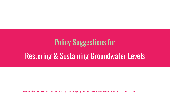# Policy Suggestions for Restoring & Sustaining Groundwater Levels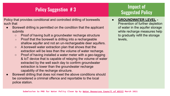## **Policy Suggestion # 3** Impact of

Policy that provides conditional and controlled drilling of borewells such that

- Borewell drilling is permitted on the condition that the applicant submits
	- Proof of having built a groundwater recharge structure
	- Proof that the borewell is drilling into a rechargeable shallow aquifer and not an un-rechargeable deer aquifers.
	- A borewell water extraction plan that shows that the extraction will be less than the volume of water recharge.
	- Proof of having installed a water meter with a geo-tagging & IoT device that is capable of relaying the volume of water extracted by the well each day to confirm groundwater extraction is lower than the groundwater recharge capability of the recharge structure.
- Borewell drilling that does not meet the above conditions should be considered a criminal offence and reportable to the local police station.

# **Suggested Policy**

**GROUNDWATER LEVEL -**Prevention of further depletion of water in the aquifer storage while recharge measures help to gradually refill the storage levels,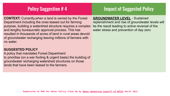### **Policy Suggestion #4 Impact of Suggested Policy**

**CONTEXT:** Currently,when a land is owned by the Forest Department including the ones leased out for farming purpose, building a watershed structure requires a complex and lengthy bureaucratic approval process. This has resulted in thousands of acres of land in rural areas devoid of groundwater recharging leaving millions of farmers with no water.

### **SUGGESTED POLICY**

A policy that mandates Forest Department to prioritise (on a war footing & urgent basis) the building of groundwater recharging watershed structures on those lands that have been leased to the farmers.

**GROUNDWATER LEVEL** - Sustained replenishment and rise of groundwater levels will be the result leading to active reversal of the water stress and prevention of day zero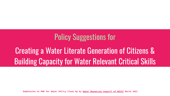## Policy Suggestions for

## Creating a Water Literate Generation of Citizens & Building Capacity for Water Relevant Critical Skills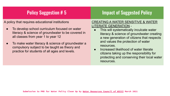### Policy Suggestion # 5 **Impact of Suggested Policy**

A policy that requires educational institutions

- To develop school curriculum focused on water literacy & science of groundwater to be covered in all classes from year 1 to year 12
- To make water literacy & science of groundwater a compulsory subject to be taught as theory and practice for students of all ages and levels.

### CREATING A WATER SENSITIVE & WATER LITERATE GENERATION -

- This will systematically inculcate water literacy & science of groundwater creating a new generation of citizens that respects and values the protection of water resources.
- Increased likelihood of water literate citizens taking up the responsibility for protecting and conserving their local water resources.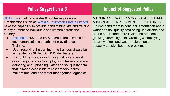### **Policy Suggestion # 6 Impact of Suggested Policy**

[Skill India](https://skillindia.nsdcindia.org/) should add water & soil testing as a skill Organisations such as [Watsan Envirotech Private Limited](https://watsan.in/) have the capability to provide hand testing kits and training to any number of individuals esp women across the country.

- [Skill India](https://skillindia.nsdcindia.org/) must procure & accredit the services of such organisations capable of providing such Training.
- Upon receiving the training, the trainees should be accredited as Skilled Soil & Water Testers
- It should be mandatory for local urban and rural governing agencies to employ such testers who are gathering and uploading water and soil quality data that is made accessible to researchers, policy makers and land and water management agencies.

MAPPING OF WATER & SOIL QUALITY DATA & INCREASE EMPLOYMENT OPPORTUNITY On one hand there is constant lamentation about water and soil quality data being unavailable and on the other hand there is also the problem of growing unemployment. Creating & employing an army of soil and water testers has the capacity to solve both the problems,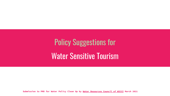# Policy Suggestions for Water Sensitive Tourism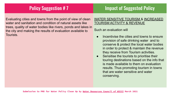### **Policy Suggestion # 7** Impact of Suggested Policy

Evaluating cities and towns from the point of view of clean water and sanitation and condition of natural assets like trees, quality of water bodies like rivers, ponds and lakes in the city and making the results of evaluation available to Tourists.

### WATER SENSITIVE TOURISM & INCREASED TOURISM ACTIVITY & REVENUE

### Such an evaluation will

- Incentivise the cities and towns to ensure provision of safe drinking water and to conserve & protect the local water bodies in order to protect & maintain the revenue they receive from Tourism activities.
- Sensitise the tourists to prioritise their touring destinations based on the info that is made available to them on evaluation results. Thus promoting tourism in towns that are water sensitive and water conserving.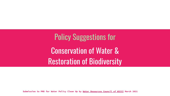Policy Suggestions for Conservation of Water & Restoration of Biodiversity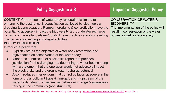### **Policy Suggestion # 8 Impact of Suggested Policy**

**CONTEXT:** Current focus of water body restoration is limited to enhancing the aesthetics & beautification achieved by clean up via dredging & concretization. Rampant dredging & concretization have the potential to adversely impact the biodiversity & groundwater recharge capacity of the wetlands/lakes/ponds.These practices are also resulting in extensive soil mining and illegal activities. **POLICY SUGGESTION**

Introduce a policy that

- Explicitly states the objective of water body restoration and rejuvenation as conservation of the water body.
- Mandates submission of a scientific report that provides justification for the dredging and deepening of water bodies along with a statement that the operation would not adversely impact the biodiversity and the groundwater recharge potential
- Also introduces interventions that control pollution at source in the form of gross pollutant traps & rain-gardens in upstream of the water body (structural) as well as behaviour change & awareness raising in the community (non structural)

### CONSERVATION OF WATER & **BIODIVERSITY**

The implementation of the policy will result in conservation of the water bodies as well as biodiversity.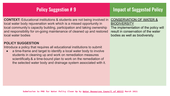### **Policy Suggestion # 9 Impact of Suggested Policy**

**CONTEXT:** Educational institutions & students are not being involved in local water body rejuvenation work which is a missed opportunity in local community's capacity building, participation and taking ownership and responsibility for on-going maintenance of cleaned up and restored local water bodies

### **POLICY SUGGESTION**

Introduce a policy that requires all educational institutions to submit

a time-frame and target to identify a local water body to involve students in cleaning up and work on remediation measures scientifically.& a time-bound plan to work on the remediation of the selected water body and drainage system associated with it.

### CONSERVATION OF WATER & **BIODIVERSITY**

The implementation of the policy will result in conservation of the water bodies as well as biodiversity.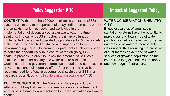### Policy Suggestion #10 **Impact of Suggested Policy**

**CONTEXT:** With more than 20000 small scale sanitation (SSS) systems estimated to be operational today, India represents one of the contexts that is most advanced worldwide in the implementation of decentralised urban wastewater treatment solutions. The current SSS infrastructure is largely funded, implemented, owned and operated by private sector & civil society stakeholders, with limited guidance and supervision from government agencies. Government departments at all levels need to seize the opportunity & take control of the on-going SSS scale-up process. In order to unlock the potential of SSS as a scalable solution for healthy and water-secure cities, the weaknesses in the governance framework need to be addressed in a systematic and collaborative effort. Priority actions have been recommended for effective governance & scale up of SSS in a research report titled ["small-scale sanitation scaling-up"](https://www.eawag.ch/en/department/sandec/projects/sesp/4s-small-scale-sanitation-scaling-up/) (4S)

and reuse systems as a key solution for urban sanitation and water **All and WICCI POLICY SUGGESTION:** The Ministry of Housing and Urban Affairs should explicitly recognize small-scale sewage treatment security

### WATER CONSERVATION & HEALTHY **CITY**

Effective scale up of small scale sanitation systems have the potential to make cities and towns free of water pollution as well as make way for reuse and recycle of water for non potable water users, thus reducing the pressure of ever increasing demand of water services of growing population on the centralised long distance water supply and sewerage infrastructure.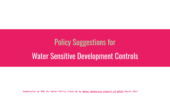# Policy Suggestions for Water Sensitive Development Controls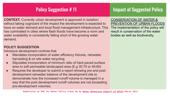### **Policy Suggestion #11 Impact of Suggested Policy**

**CONTEXT:** Currently urban development is approved in isolation without taking cognizant of the impact the development is expected to have on water demand and local flood management infrastructure. This has culminated in cities where flash floods have become a norm and water availability is consistently falling short of the growing water demand.

### **POLICY SUGGESTION**

Introduce development controls that

- Mandates incorporation of water efficiency fixtures, rainwater harvesting & on site water recycling.
- Stipulates incorporation of minimum ratio of hard paved surface area to soft permeable landscaped area (E.g 30:70 or 40:60)
- Requires the developer to submit a report showing pre and post development rainwater balance of the development site to demonstrate how the increased runoff volume is managed in a way that the post development runoff volumes are not exceeding pre-development volumes.

CONSERVATION OF WATER & PREVENTION OF URBAN FLOODS The implementation of the policy will result in conservation of the water bodies as well as biodiversity.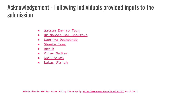## Acknowledgement - Following individuals provided inputs to the submission

- [Watsan Enviro Tech](mailto:watsanenvirotech@gmail.com)
- Dr Mansee Bal Bhargava
- [Supriya Deshpande](mailto:supriya_deshpande@yahoo.com)
- [Shweta Iyer](mailto:shweta100720@gmail.com)
- [Dev D](mailto:dev.god1988@gmail.com)
- [Vijay Nadkar](mailto:nadkar2002@gmail.com)
- [Anil Singh](mailto:anilsingh2006@gmail.com)
- [Lukas Ulrich](mailto:lukas.ulrich.work@gmail.com)